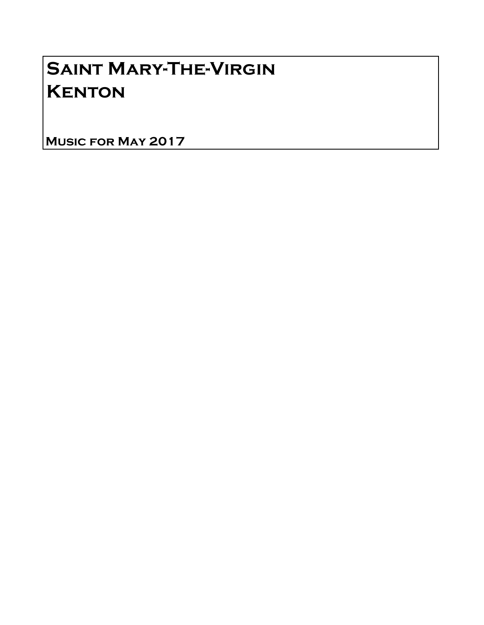## Saint Mary-The-Virgin **KENTON**

Music for May 2017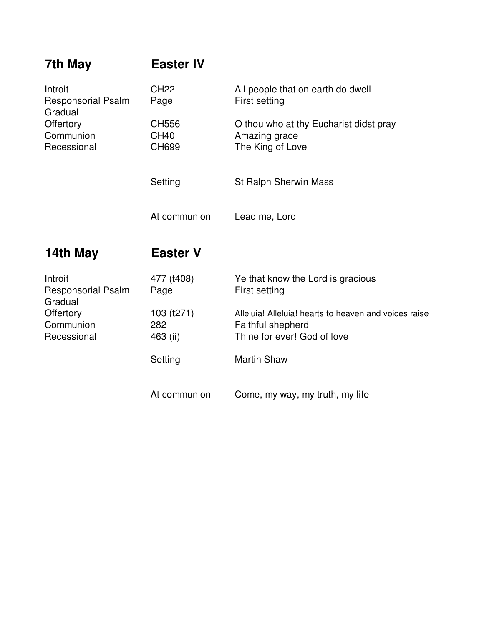| 7th May                                                                                  | <b>Easter IV</b>              |                                                                                                                  |
|------------------------------------------------------------------------------------------|-------------------------------|------------------------------------------------------------------------------------------------------------------|
| Introit<br><b>Responsorial Psalm</b><br>Gradual<br>Offertory<br>Communion<br>Recessional | <b>CH22</b><br>Page           | All people that on earth do dwell<br>First setting                                                               |
|                                                                                          | CH556<br><b>CH40</b><br>CH699 | O thou who at thy Eucharist didst pray<br>Amazing grace<br>The King of Love                                      |
|                                                                                          | Setting                       | <b>St Ralph Sherwin Mass</b>                                                                                     |
|                                                                                          | At communion                  | Lead me, Lord                                                                                                    |
|                                                                                          |                               |                                                                                                                  |
| 14th May                                                                                 | <b>Easter V</b>               |                                                                                                                  |
| Introit<br><b>Responsorial Psalm</b>                                                     | 477 (t408)<br>Page            | Ye that know the Lord is gracious<br>First setting                                                               |
| Gradual<br>Offertory<br>Communion<br>Recessional                                         | 103 (t271)<br>282<br>463 (ii) | Alleluia! Alleluia! hearts to heaven and voices raise<br><b>Faithful shepherd</b><br>Thine for ever! God of love |
|                                                                                          | Setting                       | <b>Martin Shaw</b>                                                                                               |